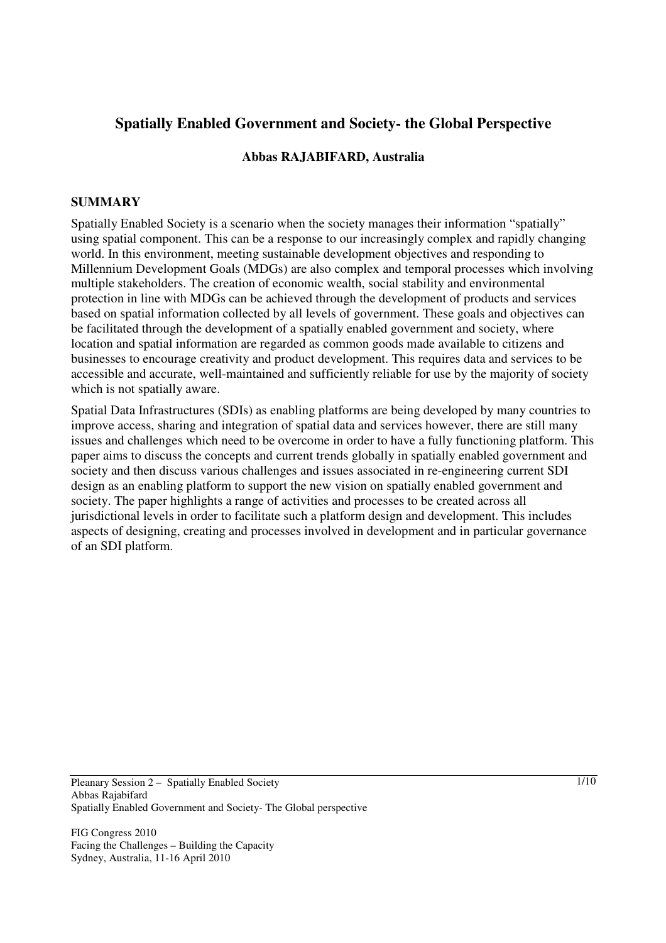# **Spatially Enabled Government and Society- the Global Perspective**

## **Abbas RAJABIFARD, Australia**

#### **SUMMARY**

Spatially Enabled Society is a scenario when the society manages their information "spatially" using spatial component. This can be a response to our increasingly complex and rapidly changing world. In this environment, meeting sustainable development objectives and responding to Millennium Development Goals (MDGs) are also complex and temporal processes which involving multiple stakeholders. The creation of economic wealth, social stability and environmental protection in line with MDGs can be achieved through the development of products and services based on spatial information collected by all levels of government. These goals and objectives can be facilitated through the development of a spatially enabled government and society, where location and spatial information are regarded as common goods made available to citizens and businesses to encourage creativity and product development. This requires data and services to be accessible and accurate, well-maintained and sufficiently reliable for use by the majority of society which is not spatially aware.

Spatial Data Infrastructures (SDIs) as enabling platforms are being developed by many countries to improve access, sharing and integration of spatial data and services however, there are still many issues and challenges which need to be overcome in order to have a fully functioning platform. This paper aims to discuss the concepts and current trends globally in spatially enabled government and society and then discuss various challenges and issues associated in re-engineering current SDI design as an enabling platform to support the new vision on spatially enabled government and society. The paper highlights a range of activities and processes to be created across all jurisdictional levels in order to facilitate such a platform design and development. This includes aspects of designing, creating and processes involved in development and in particular governance of an SDI platform.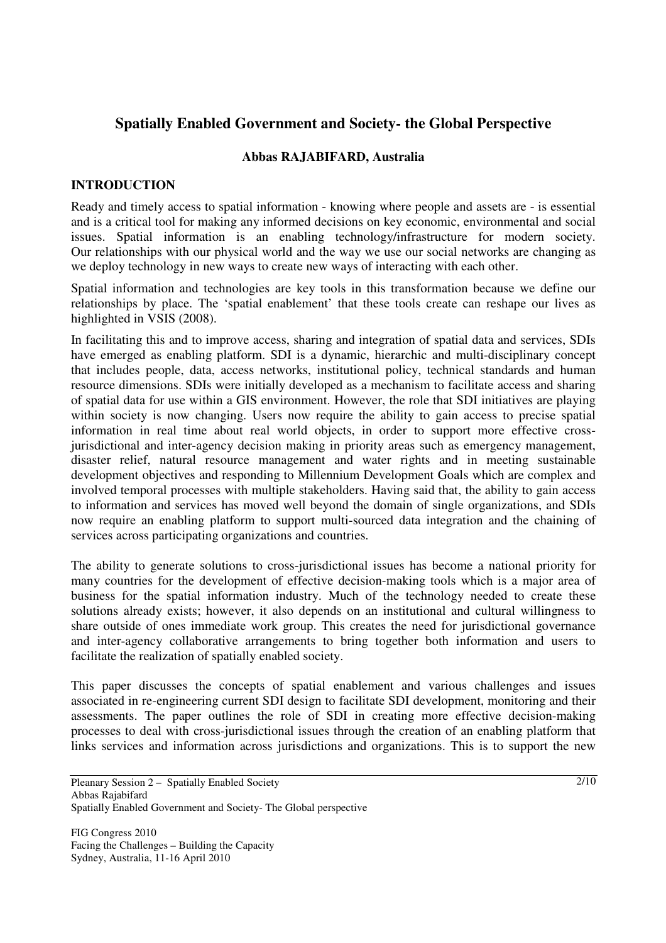# **Spatially Enabled Government and Society- the Global Perspective**

#### **Abbas RAJABIFARD, Australia**

## **INTRODUCTION**

Ready and timely access to spatial information - knowing where people and assets are - is essential and is a critical tool for making any informed decisions on key economic, environmental and social issues. Spatial information is an enabling technology/infrastructure for modern society. Our relationships with our physical world and the way we use our social networks are changing as we deploy technology in new ways to create new ways of interacting with each other.

Spatial information and technologies are key tools in this transformation because we define our relationships by place. The 'spatial enablement' that these tools create can reshape our lives as highlighted in VSIS (2008).

In facilitating this and to improve access, sharing and integration of spatial data and services, SDIs have emerged as enabling platform. SDI is a dynamic, hierarchic and multi-disciplinary concept that includes people, data, access networks, institutional policy, technical standards and human resource dimensions. SDIs were initially developed as a mechanism to facilitate access and sharing of spatial data for use within a GIS environment. However, the role that SDI initiatives are playing within society is now changing. Users now require the ability to gain access to precise spatial information in real time about real world objects, in order to support more effective crossjurisdictional and inter-agency decision making in priority areas such as emergency management, disaster relief, natural resource management and water rights and in meeting sustainable development objectives and responding to Millennium Development Goals which are complex and involved temporal processes with multiple stakeholders. Having said that, the ability to gain access to information and services has moved well beyond the domain of single organizations, and SDIs now require an enabling platform to support multi-sourced data integration and the chaining of services across participating organizations and countries.

The ability to generate solutions to cross-jurisdictional issues has become a national priority for many countries for the development of effective decision-making tools which is a major area of business for the spatial information industry. Much of the technology needed to create these solutions already exists; however, it also depends on an institutional and cultural willingness to share outside of ones immediate work group. This creates the need for jurisdictional governance and inter-agency collaborative arrangements to bring together both information and users to facilitate the realization of spatially enabled society.

This paper discusses the concepts of spatial enablement and various challenges and issues associated in re-engineering current SDI design to facilitate SDI development, monitoring and their assessments. The paper outlines the role of SDI in creating more effective decision-making processes to deal with cross-jurisdictional issues through the creation of an enabling platform that links services and information across jurisdictions and organizations. This is to support the new

Pleanary Session 2 – Spatially Enabled Society Abbas Rajabifard Spatially Enabled Government and Society- The Global perspective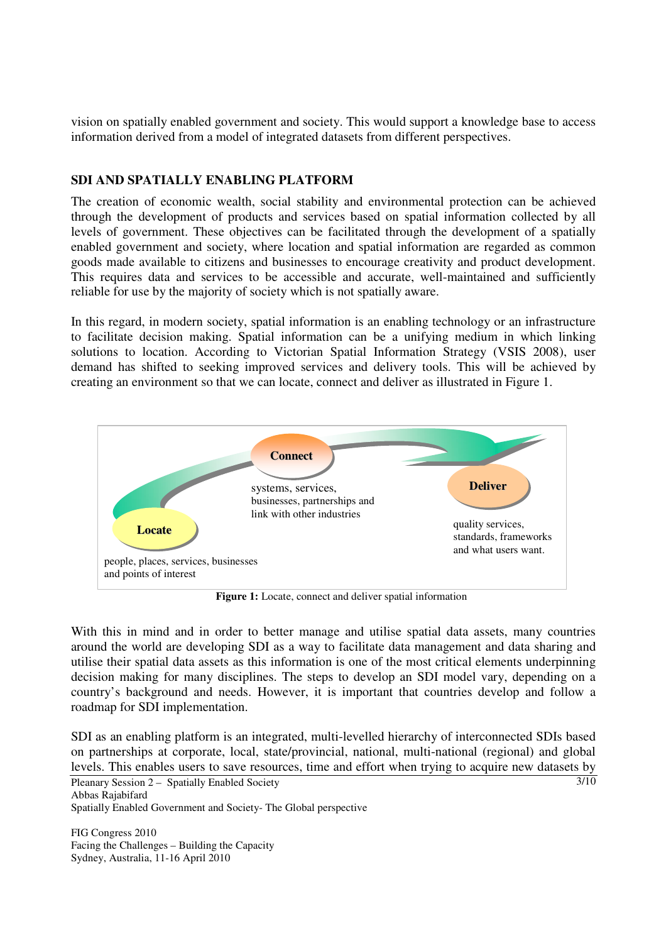vision on spatially enabled government and society. This would support a knowledge base to access information derived from a model of integrated datasets from different perspectives.

## **SDI AND SPATIALLY ENABLING PLATFORM**

The creation of economic wealth, social stability and environmental protection can be achieved through the development of products and services based on spatial information collected by all levels of government. These objectives can be facilitated through the development of a spatially enabled government and society, where location and spatial information are regarded as common goods made available to citizens and businesses to encourage creativity and product development. This requires data and services to be accessible and accurate, well-maintained and sufficiently reliable for use by the majority of society which is not spatially aware.

In this regard, in modern society, spatial information is an enabling technology or an infrastructure to facilitate decision making. Spatial information can be a unifying medium in which linking solutions to location. According to Victorian Spatial Information Strategy (VSIS 2008), user demand has shifted to seeking improved services and delivery tools. This will be achieved by creating an environment so that we can locate, connect and deliver as illustrated in Figure 1.



**Figure 1:** Locate, connect and deliver spatial information

With this in mind and in order to better manage and utilise spatial data assets, many countries around the world are developing SDI as a way to facilitate data management and data sharing and utilise their spatial data assets as this information is one of the most critical elements underpinning decision making for many disciplines. The steps to develop an SDI model vary, depending on a country's background and needs. However, it is important that countries develop and follow a roadmap for SDI implementation.

Pleanary Session 2 – Spatially Enabled Society Abbas Rajabifard Spatially Enabled Government and Society- The Global perspective 3/10 SDI as an enabling platform is an integrated, multi-levelled hierarchy of interconnected SDIs based on partnerships at corporate, local, state/provincial, national, multi-national (regional) and global levels. This enables users to save resources, time and effort when trying to acquire new datasets by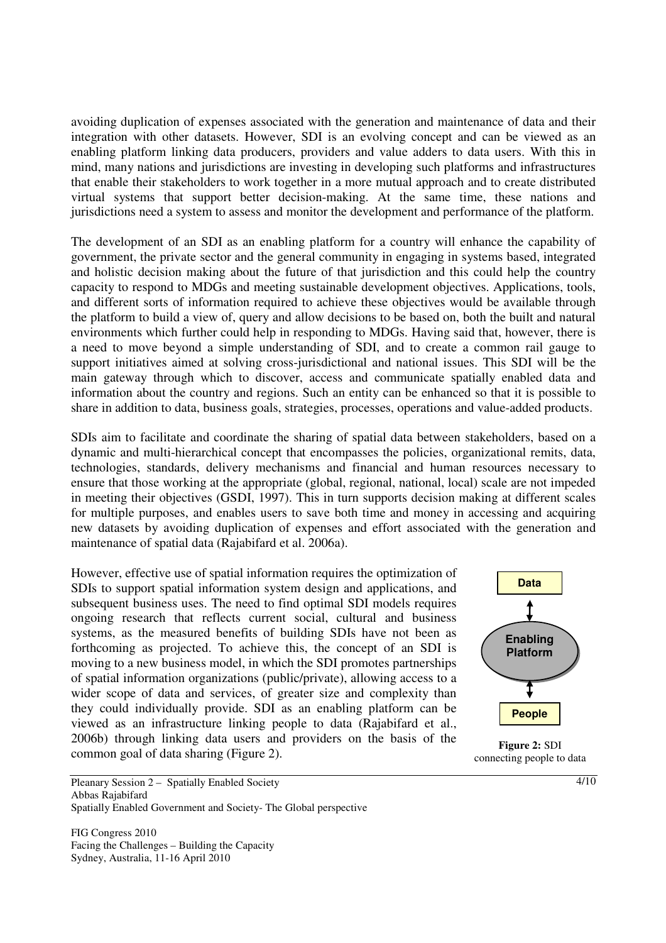avoiding duplication of expenses associated with the generation and maintenance of data and their integration with other datasets. However, SDI is an evolving concept and can be viewed as an enabling platform linking data producers, providers and value adders to data users. With this in mind, many nations and jurisdictions are investing in developing such platforms and infrastructures that enable their stakeholders to work together in a more mutual approach and to create distributed virtual systems that support better decision-making. At the same time, these nations and jurisdictions need a system to assess and monitor the development and performance of the platform.

The development of an SDI as an enabling platform for a country will enhance the capability of government, the private sector and the general community in engaging in systems based, integrated and holistic decision making about the future of that jurisdiction and this could help the country capacity to respond to MDGs and meeting sustainable development objectives. Applications, tools, and different sorts of information required to achieve these objectives would be available through the platform to build a view of, query and allow decisions to be based on, both the built and natural environments which further could help in responding to MDGs. Having said that, however, there is a need to move beyond a simple understanding of SDI, and to create a common rail gauge to support initiatives aimed at solving cross-jurisdictional and national issues. This SDI will be the main gateway through which to discover, access and communicate spatially enabled data and information about the country and regions. Such an entity can be enhanced so that it is possible to share in addition to data, business goals, strategies, processes, operations and value-added products.

SDIs aim to facilitate and coordinate the sharing of spatial data between stakeholders, based on a dynamic and multi-hierarchical concept that encompasses the policies, organizational remits, data, technologies, standards, delivery mechanisms and financial and human resources necessary to ensure that those working at the appropriate (global, regional, national, local) scale are not impeded in meeting their objectives (GSDI, 1997). This in turn supports decision making at different scales for multiple purposes, and enables users to save both time and money in accessing and acquiring new datasets by avoiding duplication of expenses and effort associated with the generation and maintenance of spatial data (Rajabifard et al. 2006a).

However, effective use of spatial information requires the optimization of SDIs to support spatial information system design and applications, and subsequent business uses. The need to find optimal SDI models requires ongoing research that reflects current social, cultural and business systems, as the measured benefits of building SDIs have not been as forthcoming as projected. To achieve this, the concept of an SDI is moving to a new business model, in which the SDI promotes partnerships of spatial information organizations (public/private), allowing access to a wider scope of data and services, of greater size and complexity than they could individually provide. SDI as an enabling platform can be viewed as an infrastructure linking people to data (Rajabifard et al., 2006b) through linking data users and providers on the basis of the common goal of data sharing (Figure 2).



**Figure 2:** SDI connecting people to data

Pleanary Session 2 – Spatially Enabled Society Abbas Rajabifard Spatially Enabled Government and Society- The Global perspective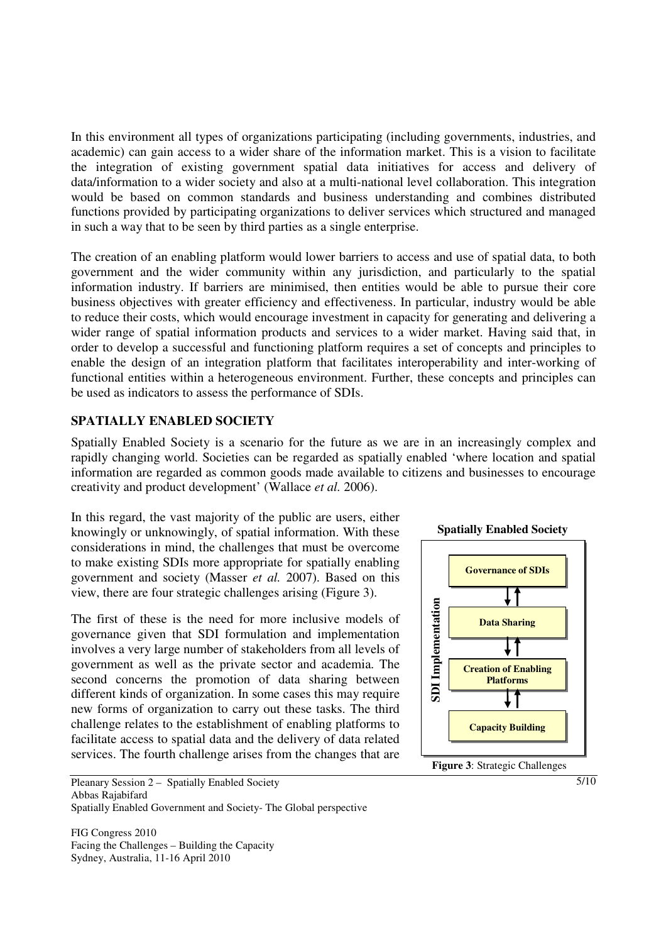In this environment all types of organizations participating (including governments, industries, and academic) can gain access to a wider share of the information market. This is a vision to facilitate the integration of existing government spatial data initiatives for access and delivery of data/information to a wider society and also at a multi-national level collaboration. This integration would be based on common standards and business understanding and combines distributed functions provided by participating organizations to deliver services which structured and managed in such a way that to be seen by third parties as a single enterprise.

The creation of an enabling platform would lower barriers to access and use of spatial data, to both government and the wider community within any jurisdiction, and particularly to the spatial information industry. If barriers are minimised, then entities would be able to pursue their core business objectives with greater efficiency and effectiveness. In particular, industry would be able to reduce their costs, which would encourage investment in capacity for generating and delivering a wider range of spatial information products and services to a wider market. Having said that, in order to develop a successful and functioning platform requires a set of concepts and principles to enable the design of an integration platform that facilitates interoperability and inter-working of functional entities within a heterogeneous environment. Further, these concepts and principles can be used as indicators to assess the performance of SDIs.

### **SPATIALLY ENABLED SOCIETY**

Spatially Enabled Society is a scenario for the future as we are in an increasingly complex and rapidly changing world. Societies can be regarded as spatially enabled 'where location and spatial information are regarded as common goods made available to citizens and businesses to encourage creativity and product development' (Wallace *et al.* 2006).

In this regard, the vast majority of the public are users, either knowingly or unknowingly, of spatial information. With these considerations in mind, the challenges that must be overcome to make existing SDIs more appropriate for spatially enabling government and society (Masser *et al.* 2007). Based on this view, there are four strategic challenges arising (Figure 3).

The first of these is the need for more inclusive models of governance given that SDI formulation and implementation involves a very large number of stakeholders from all levels of government as well as the private sector and academia. The second concerns the promotion of data sharing between different kinds of organization. In some cases this may require new forms of organization to carry out these tasks. The third challenge relates to the establishment of enabling platforms to facilitate access to spatial data and the delivery of data related services. The fourth challenge arises from the changes that are



FIG Congress 2010 Facing the Challenges – Building the Capacity Sydney, Australia, 11-16 April 2010



5/10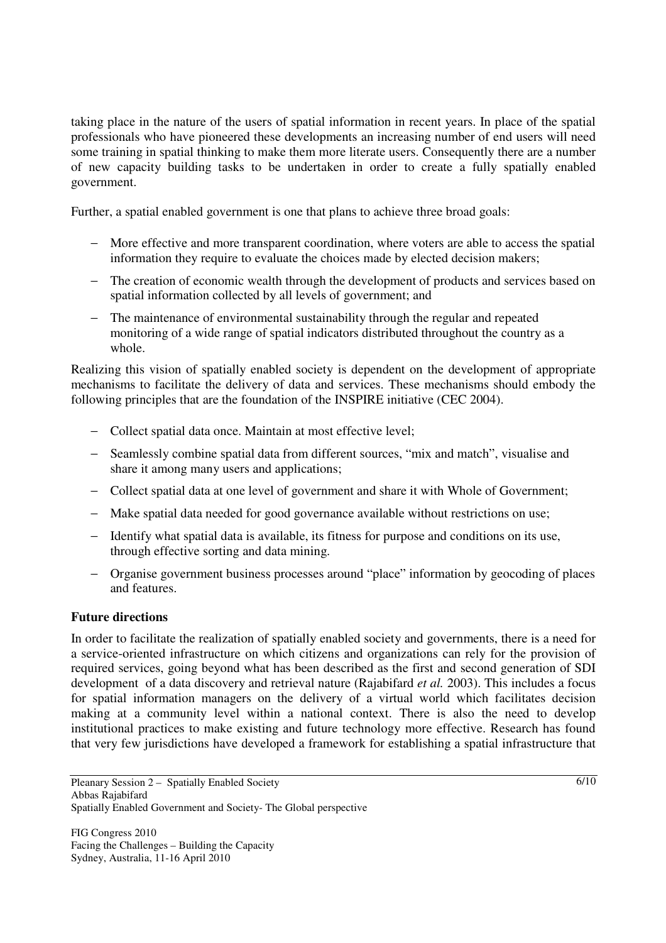taking place in the nature of the users of spatial information in recent years. In place of the spatial professionals who have pioneered these developments an increasing number of end users will need some training in spatial thinking to make them more literate users. Consequently there are a number of new capacity building tasks to be undertaken in order to create a fully spatially enabled government.

Further, a spatial enabled government is one that plans to achieve three broad goals:

- − More effective and more transparent coordination, where voters are able to access the spatial information they require to evaluate the choices made by elected decision makers;
- − The creation of economic wealth through the development of products and services based on spatial information collected by all levels of government; and
- − The maintenance of environmental sustainability through the regular and repeated monitoring of a wide range of spatial indicators distributed throughout the country as a whole.

Realizing this vision of spatially enabled society is dependent on the development of appropriate mechanisms to facilitate the delivery of data and services. These mechanisms should embody the following principles that are the foundation of the INSPIRE initiative (CEC 2004).

- − Collect spatial data once. Maintain at most effective level;
- − Seamlessly combine spatial data from different sources, "mix and match", visualise and share it among many users and applications;
- − Collect spatial data at one level of government and share it with Whole of Government;
- − Make spatial data needed for good governance available without restrictions on use;
- − Identify what spatial data is available, its fitness for purpose and conditions on its use, through effective sorting and data mining.
- − Organise government business processes around "place" information by geocoding of places and features.

#### **Future directions**

In order to facilitate the realization of spatially enabled society and governments, there is a need for a service-oriented infrastructure on which citizens and organizations can rely for the provision of required services, going beyond what has been described as the first and second generation of SDI development of a data discovery and retrieval nature (Rajabifard *et al.* 2003). This includes a focus for spatial information managers on the delivery of a virtual world which facilitates decision making at a community level within a national context. There is also the need to develop institutional practices to make existing and future technology more effective. Research has found that very few jurisdictions have developed a framework for establishing a spatial infrastructure that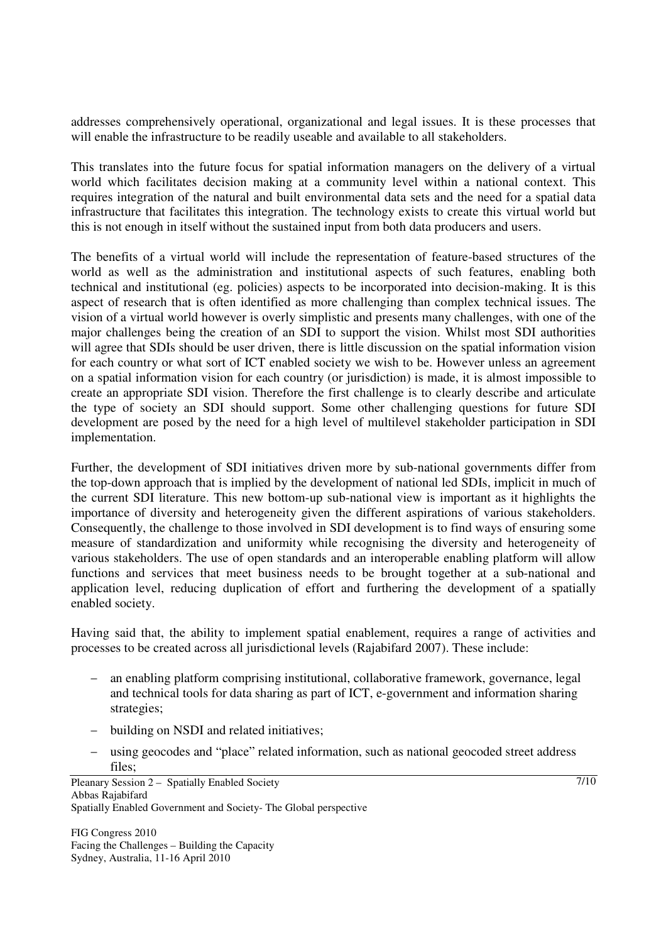addresses comprehensively operational, organizational and legal issues. It is these processes that will enable the infrastructure to be readily useable and available to all stakeholders.

This translates into the future focus for spatial information managers on the delivery of a virtual world which facilitates decision making at a community level within a national context. This requires integration of the natural and built environmental data sets and the need for a spatial data infrastructure that facilitates this integration. The technology exists to create this virtual world but this is not enough in itself without the sustained input from both data producers and users.

The benefits of a virtual world will include the representation of feature-based structures of the world as well as the administration and institutional aspects of such features, enabling both technical and institutional (eg. policies) aspects to be incorporated into decision-making. It is this aspect of research that is often identified as more challenging than complex technical issues. The vision of a virtual world however is overly simplistic and presents many challenges, with one of the major challenges being the creation of an SDI to support the vision. Whilst most SDI authorities will agree that SDIs should be user driven, there is little discussion on the spatial information vision for each country or what sort of ICT enabled society we wish to be. However unless an agreement on a spatial information vision for each country (or jurisdiction) is made, it is almost impossible to create an appropriate SDI vision. Therefore the first challenge is to clearly describe and articulate the type of society an SDI should support. Some other challenging questions for future SDI development are posed by the need for a high level of multilevel stakeholder participation in SDI implementation.

Further, the development of SDI initiatives driven more by sub-national governments differ from the top-down approach that is implied by the development of national led SDIs, implicit in much of the current SDI literature. This new bottom-up sub-national view is important as it highlights the importance of diversity and heterogeneity given the different aspirations of various stakeholders. Consequently, the challenge to those involved in SDI development is to find ways of ensuring some measure of standardization and uniformity while recognising the diversity and heterogeneity of various stakeholders. The use of open standards and an interoperable enabling platform will allow functions and services that meet business needs to be brought together at a sub-national and application level, reducing duplication of effort and furthering the development of a spatially enabled society.

Having said that, the ability to implement spatial enablement, requires a range of activities and processes to be created across all jurisdictional levels (Rajabifard 2007). These include:

- an enabling platform comprising institutional, collaborative framework, governance, legal and technical tools for data sharing as part of ICT, e-government and information sharing strategies;
- − building on NSDI and related initiatives;
- − using geocodes and "place" related information, such as national geocoded street address files;

FIG Congress 2010 Facing the Challenges – Building the Capacity Sydney, Australia, 11-16 April 2010

7/10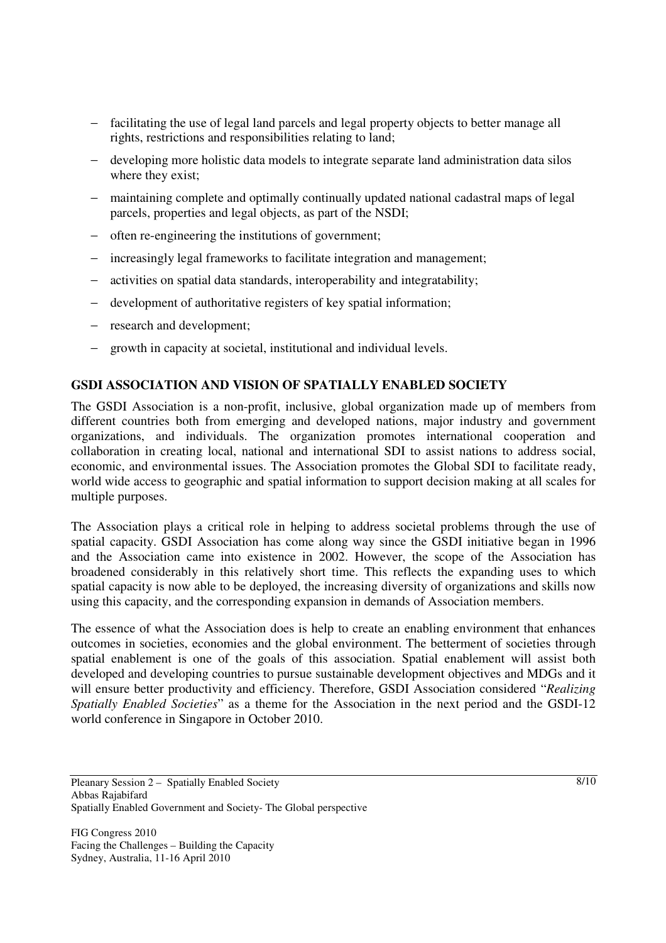- − facilitating the use of legal land parcels and legal property objects to better manage all rights, restrictions and responsibilities relating to land;
- − developing more holistic data models to integrate separate land administration data silos where they exist;
- − maintaining complete and optimally continually updated national cadastral maps of legal parcels, properties and legal objects, as part of the NSDI;
- often re-engineering the institutions of government;
- − increasingly legal frameworks to facilitate integration and management;
- activities on spatial data standards, interoperability and integratability;
- − development of authoritative registers of key spatial information;
- − research and development;
- − growth in capacity at societal, institutional and individual levels.

## **GSDI ASSOCIATION AND VISION OF SPATIALLY ENABLED SOCIETY**

The GSDI Association is a non-profit, inclusive, global organization made up of members from different countries both from emerging and developed nations, major industry and government organizations, and individuals. The organization promotes international cooperation and collaboration in creating local, national and international SDI to assist nations to address social, economic, and environmental issues. The Association promotes the Global SDI to facilitate ready, world wide access to geographic and spatial information to support decision making at all scales for multiple purposes.

The Association plays a critical role in helping to address societal problems through the use of spatial capacity. GSDI Association has come along way since the GSDI initiative began in 1996 and the Association came into existence in 2002. However, the scope of the Association has broadened considerably in this relatively short time. This reflects the expanding uses to which spatial capacity is now able to be deployed, the increasing diversity of organizations and skills now using this capacity, and the corresponding expansion in demands of Association members.

The essence of what the Association does is help to create an enabling environment that enhances outcomes in societies, economies and the global environment. The betterment of societies through spatial enablement is one of the goals of this association. Spatial enablement will assist both developed and developing countries to pursue sustainable development objectives and MDGs and it will ensure better productivity and efficiency. Therefore, GSDI Association considered "*Realizing Spatially Enabled Societies*" as a theme for the Association in the next period and the GSDI-12 world conference in Singapore in October 2010.

Pleanary Session 2 – Spatially Enabled Society Abbas Rajabifard Spatially Enabled Government and Society- The Global perspective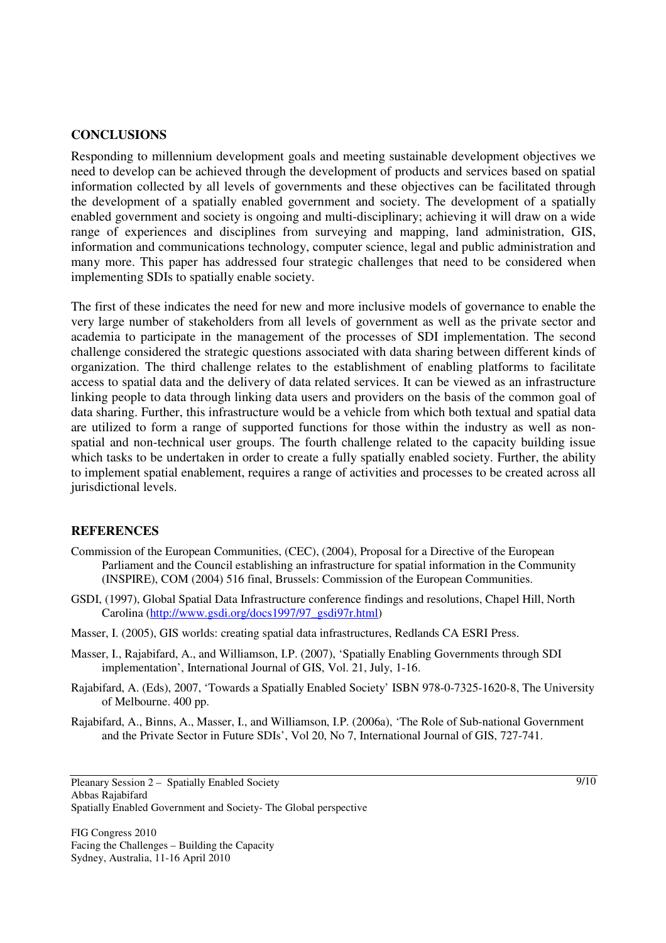### **CONCLUSIONS**

Responding to millennium development goals and meeting sustainable development objectives we need to develop can be achieved through the development of products and services based on spatial information collected by all levels of governments and these objectives can be facilitated through the development of a spatially enabled government and society. The development of a spatially enabled government and society is ongoing and multi-disciplinary; achieving it will draw on a wide range of experiences and disciplines from surveying and mapping, land administration, GIS, information and communications technology, computer science, legal and public administration and many more. This paper has addressed four strategic challenges that need to be considered when implementing SDIs to spatially enable society.

The first of these indicates the need for new and more inclusive models of governance to enable the very large number of stakeholders from all levels of government as well as the private sector and academia to participate in the management of the processes of SDI implementation. The second challenge considered the strategic questions associated with data sharing between different kinds of organization. The third challenge relates to the establishment of enabling platforms to facilitate access to spatial data and the delivery of data related services. It can be viewed as an infrastructure linking people to data through linking data users and providers on the basis of the common goal of data sharing. Further, this infrastructure would be a vehicle from which both textual and spatial data are utilized to form a range of supported functions for those within the industry as well as nonspatial and non-technical user groups. The fourth challenge related to the capacity building issue which tasks to be undertaken in order to create a fully spatially enabled society. Further, the ability to implement spatial enablement, requires a range of activities and processes to be created across all jurisdictional levels.

### **REFERENCES**

- Commission of the European Communities, (CEC), (2004), Proposal for a Directive of the European Parliament and the Council establishing an infrastructure for spatial information in the Community (INSPIRE), COM (2004) 516 final, Brussels: Commission of the European Communities.
- GSDI, (1997), Global Spatial Data Infrastructure conference findings and resolutions, Chapel Hill, North Carolina (http://www.gsdi.org/docs1997/97\_gsdi97r.html)
- Masser, I. (2005), GIS worlds: creating spatial data infrastructures, Redlands CA ESRI Press.
- Masser, I., Rajabifard, A., and Williamson, I.P. (2007), 'Spatially Enabling Governments through SDI implementation', International Journal of GIS, Vol. 21, July, 1-16.
- Rajabifard, A. (Eds), 2007, 'Towards a Spatially Enabled Society' ISBN 978-0-7325-1620-8, The University of Melbourne. 400 pp.
- Rajabifard, A., Binns, A., Masser, I., and Williamson, I.P. (2006a), 'The Role of Sub-national Government and the Private Sector in Future SDIs', Vol 20, No 7, International Journal of GIS, 727-741.

Pleanary Session 2 – Spatially Enabled Society Abbas Rajabifard Spatially Enabled Government and Society- The Global perspective